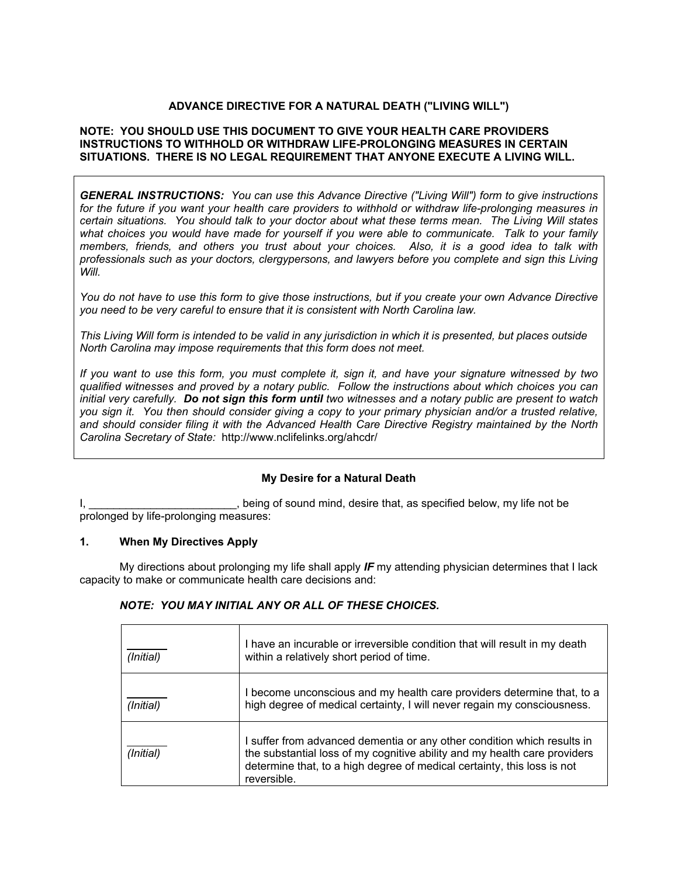# **ADVANCE DIRECTIVE FOR A NATURAL DEATH ("LIVING WILL")**

#### **NOTE: YOU SHOULD USE THIS DOCUMENT TO GIVE YOUR HEALTH CARE PROVIDERS INSTRUCTIONS TO WITHHOLD OR WITHDRAW LIFE-PROLONGING MEASURES IN CERTAIN SITUATIONS. THERE IS NO LEGAL REQUIREMENT THAT ANYONE EXECUTE A LIVING WILL.**

*GENERAL INSTRUCTIONS: You can use this Advance Directive ("Living Will") form to give instructions for the future if you want your health care providers to withhold or withdraw life-prolonging measures in certain situations. You should talk to your doctor about what these terms mean. The Living Will states what choices you would have made for yourself if you were able to communicate. Talk to your family members, friends, and others you trust about your choices. Also, it is a good idea to talk with professionals such as your doctors, clergypersons, and lawyers before you complete and sign this Living Will.* 

*You do not have to use this form to give those instructions, but if you create your own Advance Directive you need to be very careful to ensure that it is consistent with North Carolina law.* 

*This Living Will form is intended to be valid in any jurisdiction in which it is presented, but places outside North Carolina may impose requirements that this form does not meet.* 

*If you want to use this form, you must complete it, sign it, and have your signature witnessed by two qualified witnesses and proved by a notary public. Follow the instructions about which choices you can initial very carefully. Do not sign this form until two witnesses and a notary public are present to watch you sign it. You then should consider giving a copy to your primary physician and/or a trusted relative, and should consider filing it with the Advanced Health Care Directive Registry maintained by the North Carolina Secretary of State:* http://www.nclifelinks.org/ahcdr/

### **My Desire for a Natural Death**

I, \_\_\_\_\_\_\_\_\_\_\_\_\_\_\_\_\_\_\_\_\_\_\_\_\_, being of sound mind, desire that, as specified below, my life not be prolonged by life-prolonging measures:

### **1. When My Directives Apply**

My directions about prolonging my life shall apply *IF* my attending physician determines that I lack capacity to make or communicate health care decisions and:

#### *NOTE: YOU MAY INITIAL ANY OR ALL OF THESE CHOICES.*

| (Initial) | I have an incurable or irreversible condition that will result in my death<br>within a relatively short period of time.                                                                                                                        |  |
|-----------|------------------------------------------------------------------------------------------------------------------------------------------------------------------------------------------------------------------------------------------------|--|
| (Initial) | I become unconscious and my health care providers determine that, to a<br>high degree of medical certainty, I will never regain my consciousness.                                                                                              |  |
| (Initial) | I suffer from advanced dementia or any other condition which results in<br>the substantial loss of my cognitive ability and my health care providers<br>determine that, to a high degree of medical certainty, this loss is not<br>reversible. |  |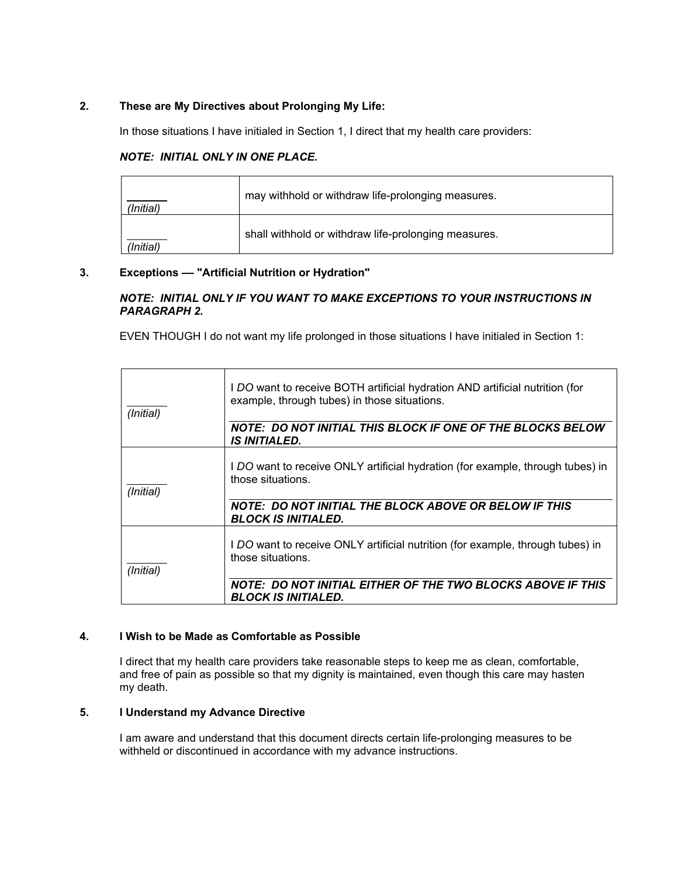# **2. These are My Directives about Prolonging My Life:**

In those situations I have initialed in Section 1, I direct that my health care providers:

### *NOTE: INITIAL ONLY IN ONE PLACE.*

| (Initial) | may withhold or withdraw life-prolonging measures.   |  |
|-----------|------------------------------------------------------|--|
| (Initial) | shall withhold or withdraw life-prolonging measures. |  |

# **3. Exceptions –– "Artificial Nutrition or Hydration"**

### *NOTE: INITIAL ONLY IF YOU WANT TO MAKE EXCEPTIONS TO YOUR INSTRUCTIONS IN PARAGRAPH 2.*

EVEN THOUGH I do not want my life prolonged in those situations I have initialed in Section 1:

| (Initial) | I DO want to receive BOTH artificial hydration AND artificial nutrition (for<br>example, through tubes) in those situations.<br>NOTE: DO NOT INITIAL THIS BLOCK IF ONE OF THE BLOCKS BELOW<br><b>IS INITIALED.</b> |
|-----------|--------------------------------------------------------------------------------------------------------------------------------------------------------------------------------------------------------------------|
| (Initial) | I DO want to receive ONLY artificial hydration (for example, through tubes) in<br>those situations.<br>NOTE: DO NOT INITIAL THE BLOCK ABOVE OR BELOW IF THIS<br><b>BLOCK IS INITIALED.</b>                         |
| (Initial) | I DO want to receive ONLY artificial nutrition (for example, through tubes) in<br>those situations.<br>NOTE: DO NOT INITIAL EITHER OF THE TWO BLOCKS ABOVE IF THIS<br><b>BLOCK IS INITIALED.</b>                   |

### **4. I Wish to be Made as Comfortable as Possible**

I direct that my health care providers take reasonable steps to keep me as clean, comfortable, and free of pain as possible so that my dignity is maintained, even though this care may hasten my death.

# **5. I Understand my Advance Directive**

I am aware and understand that this document directs certain life-prolonging measures to be withheld or discontinued in accordance with my advance instructions.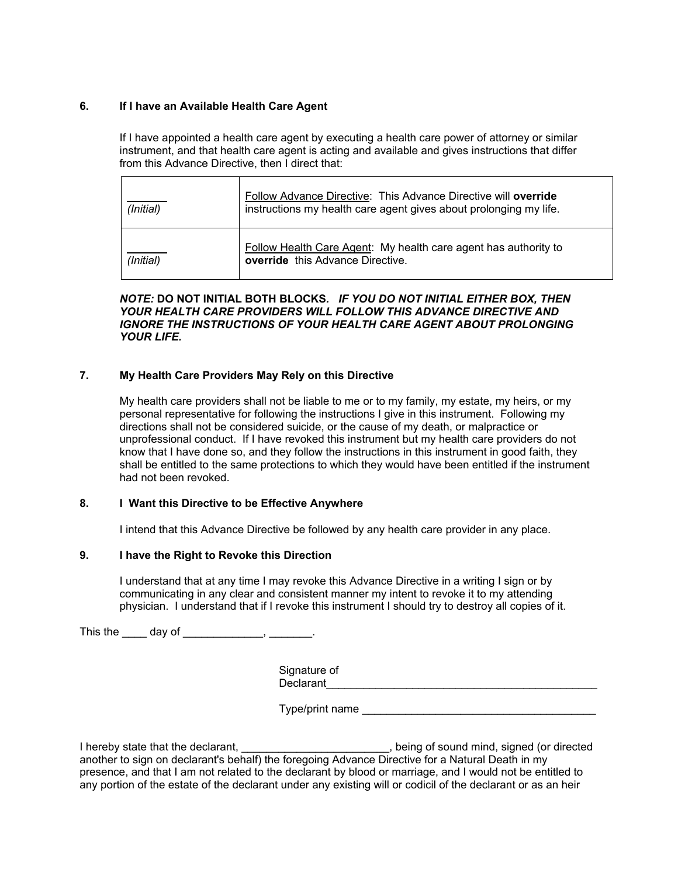### **6. If I have an Available Health Care Agent**

 If I have appointed a health care agent by executing a health care power of attorney or similar instrument, and that health care agent is acting and available and gives instructions that differ from this Advance Directive, then I direct that:

| (Initial) | Follow Advance Directive: This Advance Directive will override<br>instructions my health care agent gives about prolonging my life. |  |
|-----------|-------------------------------------------------------------------------------------------------------------------------------------|--|
| (Initial) | Follow Health Care Agent: My health care agent has authority to<br>override this Advance Directive.                                 |  |

#### *NOTE:* **DO NOT INITIAL BOTH BLOCKS***. IF YOU DO NOT INITIAL EITHER BOX, THEN YOUR HEALTH CARE PROVIDERS WILL FOLLOW THIS ADVANCE DIRECTIVE AND IGNORE THE INSTRUCTIONS OF YOUR HEALTH CARE AGENT ABOUT PROLONGING YOUR LIFE.*

### **7. My Health Care Providers May Rely on this Directive**

 My health care providers shall not be liable to me or to my family, my estate, my heirs, or my personal representative for following the instructions I give in this instrument. Following my directions shall not be considered suicide, or the cause of my death, or malpractice or unprofessional conduct. If I have revoked this instrument but my health care providers do not know that I have done so, and they follow the instructions in this instrument in good faith, they shall be entitled to the same protections to which they would have been entitled if the instrument had not been revoked.

#### **8. I Want this Directive to be Effective Anywhere**

I intend that this Advance Directive be followed by any health care provider in any place.

#### **9. I have the Right to Revoke this Direction**

I understand that at any time I may revoke this Advance Directive in a writing I sign or by communicating in any clear and consistent manner my intent to revoke it to my attending physician. I understand that if I revoke this instrument I should try to destroy all copies of it.

This the \_\_\_\_\_ day of \_\_\_\_\_\_\_\_\_\_\_\_\_, \_\_\_\_\_\_\_.

Signature of Declarant

Type/print name

I hereby state that the declarant, **EXEC 2008**, being of sound mind, signed (or directed another to sign on declarant's behalf) the foregoing Advance Directive for a Natural Death in my presence, and that I am not related to the declarant by blood or marriage, and I would not be entitled to any portion of the estate of the declarant under any existing will or codicil of the declarant or as an heir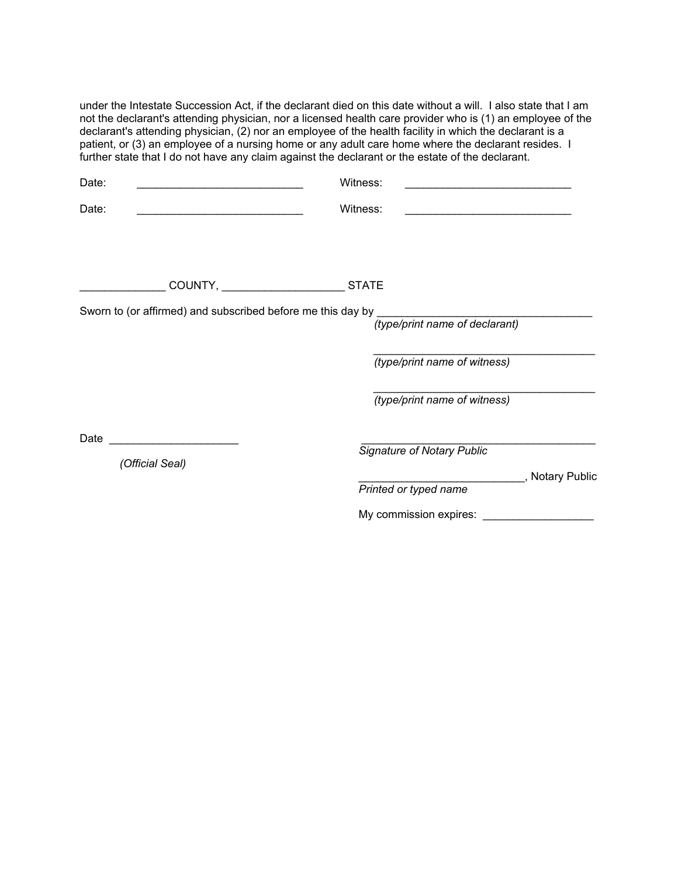under the Intestate Succession Act, if the declarant died on this date without a will. I also state that I am not the declarant's attending physician, nor a licensed health care provider who is (1) an employee of the declarant's attending physician, (2) nor an employee of the health facility in which the declarant is a patient, or (3) an employee of a nursing home or any adult care home where the declarant resides. I further state that I do not have any claim against the declarant or the estate of the declarant.

| Date:           |                                                             | Witness:                                                                               |                  |
|-----------------|-------------------------------------------------------------|----------------------------------------------------------------------------------------|------------------|
| Date:           |                                                             | Witness:<br>the control of the control of the control of the control of the control of |                  |
|                 |                                                             |                                                                                        |                  |
|                 |                                                             | <b>STATE</b>                                                                           |                  |
|                 | Sworn to (or affirmed) and subscribed before me this day by | (type/print name of declarant)                                                         |                  |
|                 |                                                             | (type/print name of witness)                                                           |                  |
|                 |                                                             | (type/print name of witness)                                                           |                  |
| Date            |                                                             |                                                                                        |                  |
| (Official Seal) |                                                             | <b>Signature of Notary Public</b>                                                      | _, Notary Public |

 *Printed or typed name* 

My commission expires: \_\_\_\_\_\_\_\_\_\_\_\_\_\_\_\_\_\_